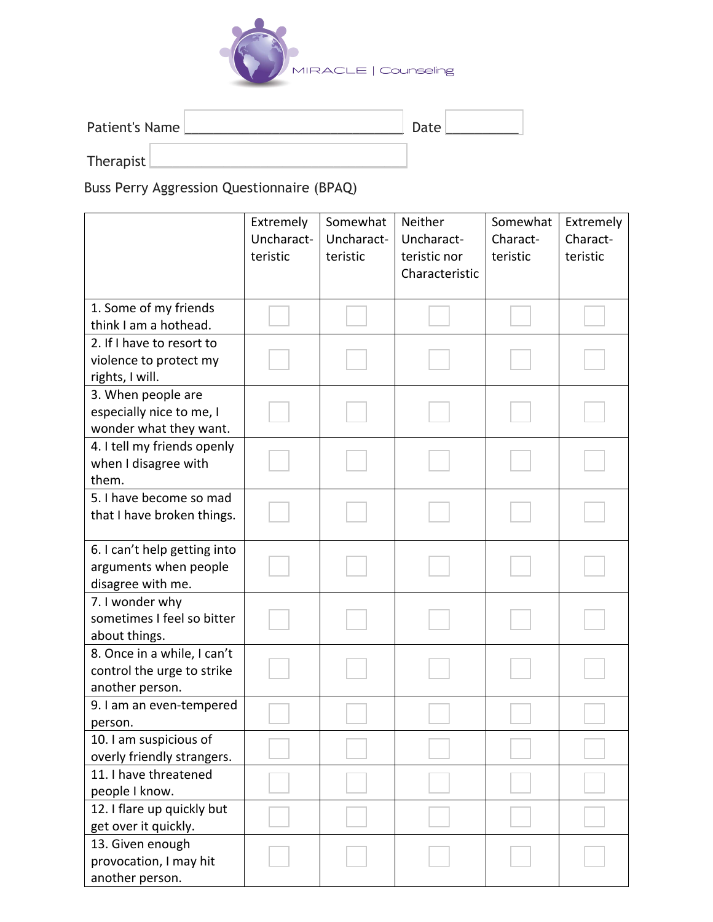

| Patient's Name | Date |  |  |
|----------------|------|--|--|
| Therapist      |      |  |  |

Buss Perry Aggression Questionnaire (BPAQ)

|                                                                              | Extremely<br>Uncharact-<br>teristic | Somewhat<br>Uncharact-<br>teristic | Neither<br>Uncharact-<br>teristic nor<br>Characteristic | Somewhat<br>Charact-<br>teristic | Extremely<br>Charact-<br>teristic |
|------------------------------------------------------------------------------|-------------------------------------|------------------------------------|---------------------------------------------------------|----------------------------------|-----------------------------------|
| 1. Some of my friends<br>think I am a hothead.                               |                                     |                                    |                                                         |                                  |                                   |
| 2. If I have to resort to<br>violence to protect my<br>rights, I will.       |                                     |                                    |                                                         |                                  |                                   |
| 3. When people are<br>especially nice to me, I<br>wonder what they want.     |                                     |                                    |                                                         |                                  |                                   |
| 4. I tell my friends openly<br>when I disagree with<br>them.                 |                                     |                                    |                                                         |                                  |                                   |
| 5. I have become so mad<br>that I have broken things.                        |                                     |                                    |                                                         |                                  |                                   |
| 6. I can't help getting into<br>arguments when people<br>disagree with me.   |                                     |                                    |                                                         |                                  |                                   |
| 7. I wonder why<br>sometimes I feel so bitter<br>about things.               |                                     |                                    |                                                         |                                  |                                   |
| 8. Once in a while, I can't<br>control the urge to strike<br>another person. |                                     |                                    |                                                         |                                  |                                   |
| 9. I am an even-tempered<br>person.                                          |                                     |                                    |                                                         |                                  |                                   |
| 10. I am suspicious of<br>overly friendly strangers.                         |                                     |                                    |                                                         |                                  |                                   |
| 11. I have threatened<br>people I know.                                      |                                     |                                    |                                                         |                                  |                                   |
| 12. I flare up quickly but<br>get over it quickly.                           |                                     |                                    |                                                         |                                  |                                   |
| 13. Given enough<br>provocation, I may hit<br>another person.                |                                     |                                    |                                                         |                                  |                                   |